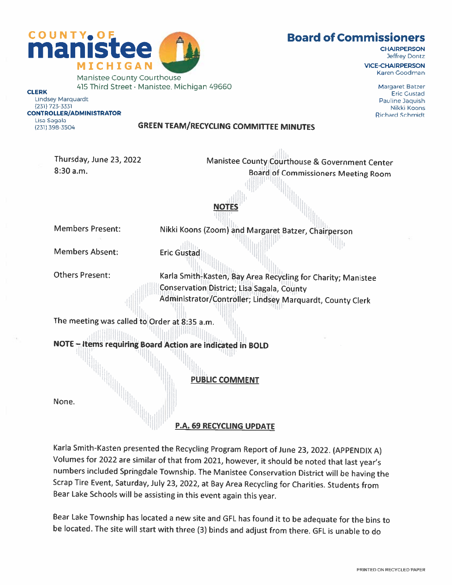



Manistee County Courthouse **CLERK** 415 Third Street · Manistee, Michigan 49660 **CHAIRPERSON** Jeffrey Dontz

VICE-CHAIRPERSON Karen Goodman

> Margaret Batzer Eric Gustad Pauline Jaquish Nikki Koons Richard Schmidt

Lindsey Marquardt (231) 723-3331 CONTROLLER/ADMINISTRATOR Lisa Sagala (231) 398-3504

### GREEN TEAM/RECYCLING COMMITTEE MINUTES

NOTES

Thursday, June 23, 2022 8:30 a.m.

Manistee County Courthouse & Government Center Board of Commissioners Meeting Room

Members Present:

Nikki Koons (Zoom) and Margaret Batzer, Chairperson Eric Gustad

Members Absent:

Others Present:

Karla Smith-Kasten, Bay Area Recycling for Charity; Manistee Conservation District; Lisa Sagala, County Administrator/Controller; Lindsey Marquardt, County Clerk

The meeting was called to Order at 8:35 a.m.

NOTE — Items requiring Board Action are indicated in BOLD

PUBLIC COMMENT

None.

P.A. 69 RECYCLING UPDATE

Karla Smith-Kasten presented the Recycling Program Report of June 23, 2022. (APPENDIX A) Volumes for <sup>2022</sup> are similar of that from 2021, however, it should be noted that last year's numbers included Springdale Township. The Manistee Conservation District will be having the Scrap Tire Event, Saturday, July 23, 2022, at Bay Area Recycling for Charities. Students from Bear Lake Schools will be assisting in this event again this year.

Bear Lake Township has located <sup>a</sup> new site and GFL has found it to be adequate for the bins to be located. The site will start with three (3) binds and adjust from there. GFL is unable to do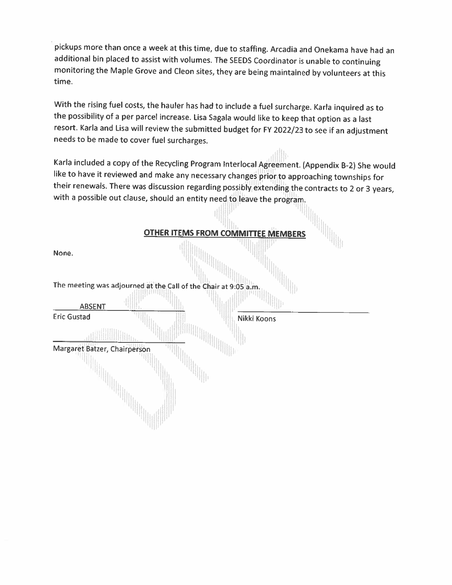<sup>p</sup>ickups more than once <sup>a</sup> week at this time, due to staffing. Arcadia and Onekama have had an additional bin <sup>p</sup>laced to assist with volumes. The SEEDS Coordinator is unable to continuing monitoring the Maple Grove and Cleon sites, they are being maintained by volunteers at this time.

With the rising fuel costs, the hauler has had to include <sup>a</sup> fuel surcharge. Karla inquired as to the possibility of <sup>a</sup> per parcel increase. Lisa Sagala would like to keep that option as <sup>a</sup> last resort. Karla and Lisa will review the submitted budget for FY 2022/23 to see if an adjustment needs to be made to cover fuel surcharges.

Karla included <sup>a</sup> copy of the Recycling Program Interlocal Agreement. (Appendix B-2) She would like to have it reviewed and make any necessary changes prior to approaching townships for their renewals. There was discussion regarding possibly extending the contracts to <sup>2</sup> or <sup>3</sup> years, with a possible out clause, should an entity need  $t_0$  eave the program.

**" "** 

| <b>OTHER ITEMS FROM COMMITTEE MEMBERS</b>                       |  |
|-----------------------------------------------------------------|--|
| None.                                                           |  |
| The meeting was adjourned at the Call of the Chair at 9:05 a.m. |  |
| <b>ABSENT</b>                                                   |  |
| <b>Eric Gustad</b><br>Nikki Koons                               |  |
|                                                                 |  |
| Margaret Batzer, Chairperson                                    |  |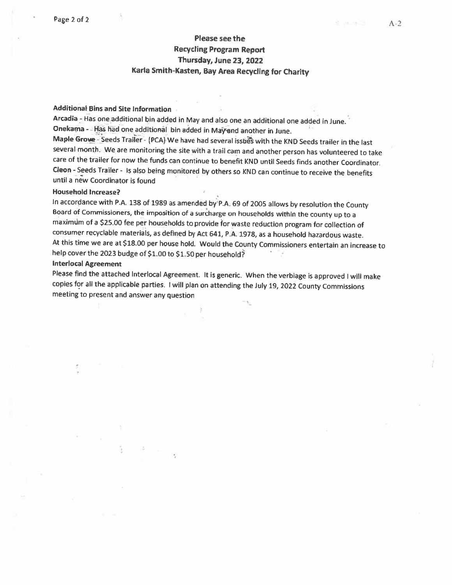### Please see the Recycling Program Report Thursday, June 23, 2022 Karla Smith-Kasten, Bay Area Recycling for Charity

### Additional Bins and Site Information

Arcadia - Has one additional bin added in May and also one an additional one added in June. - Onekama - Has had one additional bin added in May and another in June.

Maple Grove - Seeds Trailer - (PCA) We have had several issues with the KND Seeds trailer in the last several month. We are monitoring the site with <sup>a</sup> trail cam and another person has volunteered to take care of the trailer for now the funds can continue to benefit KND until Seeds finds another Coordinator. Cleon - Seeds Trailer - Is also being monitored by others so KND can continue to receive the benefits until <sup>a</sup> new Coordinator is found

### Household Increase?

In accordance with P.A. 138 of 1989 as amended by P.A. 69 of 2005 allows by resolution the County Board of Commissioners, the imposition of <sup>a</sup> surcharge on households within the county up to <sup>a</sup> rnaximdm of <sup>a</sup> \$25.00 fee per households to provide for waste reduction program for collection of consumer recyclable materials, as defined by Act 641, PA. 1978, as <sup>a</sup> household hazardous waste. At this time we are at \$18.00 per house hold. Would the County Commissioners entertain an increase to help cover the <sup>2023</sup> budge of \$1.00 to \$1.50 per household?

### Interlocal Agreement

Please find the attached Interlocal Agreement. It is generic. When the verbiage is approved <sup>I</sup> will make copies for all the applicable parties. <sup>I</sup> will <sup>p</sup>lan on attending the July 19, <sup>2022</sup> County Commissions meeting to present and answer any question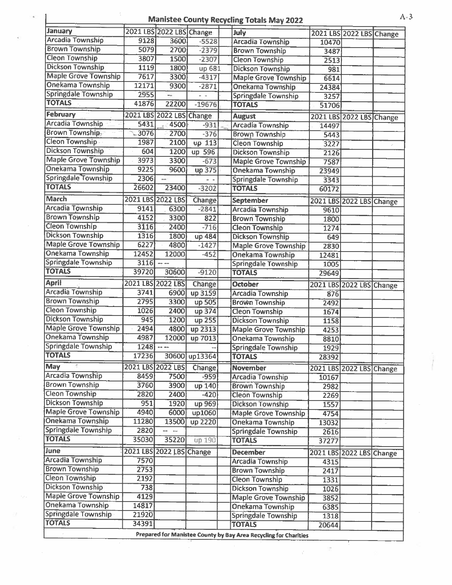### Manistee County Recycling Totals May 2022 A-3

| January                     |                   | 2021 LBS 2022 LBS Change |               | July                                                             |       | 2021 LBS 2022 LBS Change |  |
|-----------------------------|-------------------|--------------------------|---------------|------------------------------------------------------------------|-------|--------------------------|--|
| <b>Arcadia Township</b>     | 9128              | 3600                     | $-5528$       | <b>Arcadia Township</b>                                          | 10470 |                          |  |
| <b>Brown Township</b>       | 5079              | 2700                     | $-2379$       | <b>Brown Township</b>                                            | 3487  |                          |  |
| <b>Cleon Township</b>       | 3807              | 1500                     | $-2307$       | <b>Cleon Township</b>                                            | 2513  |                          |  |
| <b>Dickson Township</b>     | 1119              | 1800                     | up 681        | <b>Dickson Township</b>                                          | 981   |                          |  |
| <b>Maple Grove Township</b> | 7617              | 3300                     | $-4317$       | <b>Maple Grove Township</b>                                      | 6614  |                          |  |
| Onekama Township            | 12171             | 9300                     | $-2871$       | <b>Onekama Township</b>                                          | 24384 |                          |  |
| <b>Springdale Township</b>  | 2955              | $\sim$ $\sim$            | $-$           | <b>Springdale Township</b>                                       | 3257  |                          |  |
| <b>TOTALS</b>               | 41876             | 22200                    | $-19676$      | <b>TOTALS</b>                                                    | 51706 |                          |  |
| February                    |                   | 2021 LBS 2022 LBS Change |               |                                                                  |       |                          |  |
| Arcadia Township            | 5431              |                          |               | <b>August</b>                                                    |       | 2021 LBS 2022 LBS Change |  |
| <b>Brown Township-</b>      | 3076              | 4500                     | $-931$        | <b>Arcadia Township</b>                                          | 14497 |                          |  |
| <b>Cleon Township</b>       |                   | 2700                     | $-376$        | <b>Brown Township</b>                                            | 5443  |                          |  |
| <b>Dickson Township</b>     | 1987              | 2100                     | up 113        | <b>Cleon Township</b>                                            | 3227  |                          |  |
|                             | 604               | 1200                     | up 596        | <b>Dickson Township</b>                                          | 2126  |                          |  |
| <b>Maple Grove Township</b> | 3973              | 3300                     | $-673$        | <b>Maple Grove Township</b>                                      | 7587  |                          |  |
| <b>Onekama Township</b>     | 9225              | 9600                     | up 375        | <b>Onekama Township</b>                                          | 23949 |                          |  |
| Springdale Township         | 2306              | --                       |               | <b>Springdale Township</b>                                       | 3343  |                          |  |
| <b>TOTALS</b>               | 26602             | 23400                    | $-3202$       | <b>TOTALS</b>                                                    | 60172 |                          |  |
| <b>March</b>                | 2021 LBS 2022 LBS |                          | Change        | <b>September</b>                                                 |       | 2021 LBS 2022 LBS Change |  |
| <b>Arcadia Township</b>     | 9141              | 6300                     | $-2841$       | <b>Arcadia Township</b>                                          | 9610  |                          |  |
| <b>Brown Township</b>       | 4152              | 3300                     | 822           | <b>Brown Township</b>                                            | 1800  |                          |  |
| <b>Cleon Township</b>       | 3116              | 2400                     | $-716$        | <b>Cleon Township</b>                                            | 1274  |                          |  |
| <b>Dickson Township</b>     | 1316              | 1800                     | up 484        | <b>Dickson Township</b>                                          | 649   |                          |  |
| <b>Maple Grove Township</b> | 6227              | 4800                     | $-1427$       | <b>Maple Grove Township</b>                                      | 2830  |                          |  |
| <b>Onekama Township</b>     | 12452             | 12000                    | $-452$        | <b>Onekama Township</b>                                          | 12481 |                          |  |
| <b>Springdale Township</b>  | 3116              | $\frac{1}{2}$            |               | <b>Springdale Township</b>                                       | 1005  |                          |  |
| <b>TOTALS</b>               | 39720             | 30600                    | $-9120$       | <b>TOTALS</b>                                                    | 29649 |                          |  |
| <b>April</b>                | 2021 LBS 2022 LBS |                          |               |                                                                  |       |                          |  |
| <b>Arcadia Township</b>     | 3741              |                          | <b>Change</b> | <b>October</b>                                                   |       | 2021 LBS 2022 LBS Change |  |
| <b>Brown Township</b>       |                   | 6900                     | up 3159       | <b>Arcadia Township</b>                                          | 876   |                          |  |
| <b>Cleon Township</b>       | 2795<br>1026      | 3300                     | up 505        | <b>Brown Township</b>                                            | 2492  |                          |  |
| <b>Dickson Township</b>     | 945               | 2400                     | up 374        | <b>Cleon Township</b>                                            | 1674  |                          |  |
| <b>Maple Grove Township</b> |                   | 1200                     | up 255        | <b>Dickson Township</b>                                          | 1158  |                          |  |
| <b>Onekama Township</b>     | 2494              | 4800                     | up 2313       | <b>Maple Grove Township</b>                                      | 4253  |                          |  |
| Springdale Township         | 4987              | 12000                    | up 7013       | <b>Onekama Township</b>                                          | 8810  |                          |  |
| <b>TOTALS</b>               | 1248              | $---$                    |               | <b>Springdale Township</b>                                       | 1929  |                          |  |
|                             | 17236             |                          | 30600 up13364 | <b>TOTALS</b>                                                    | 28392 |                          |  |
| May                         | 2021 LBS 2022 LBS |                          | <b>Change</b> | <b>November</b>                                                  |       | 2021 LBS 2022 LBS Change |  |
| <b>Arcadia Township</b>     | 8459              | 7500                     | $-959$        | <b>Arcadia Township</b>                                          | 10167 |                          |  |
| <b>Brown Township</b>       | 3760              | 3900                     | up 140        | <b>Brown Township</b>                                            | 2982  |                          |  |
| Cleon Township              | 2820              | 2400                     | $-420$        | <b>Cleon Township</b>                                            | 2269  |                          |  |
| <b>Dickson Township</b>     | 951               | 1920                     | up 969        | <b>Dickson Township</b>                                          | 1557  |                          |  |
| <b>Maple Grove Township</b> | 4940              | 6000                     | up1060        | <b>Maple Grove Township</b>                                      | 4754  |                          |  |
| <b>Onekama Township</b>     | 11280             | 13500                    | up 2220       | <b>Onekama Township</b>                                          | 13032 |                          |  |
| <b>Springdale Township</b>  | 2820              |                          |               | Springdale Township                                              | 2616  |                          |  |
| <b>TOTALS</b>               | 35030             | 35220                    | up 190        | <b>TOTALS</b>                                                    | 37277 |                          |  |
| June                        |                   | 2021 LBS 2022 LBS Change |               | <b>December</b>                                                  |       | 2021 LBS 2022 LBS Change |  |
| <b>Arcadia Township</b>     | 7570              |                          |               | <b>Arcadia Township</b>                                          | 4315  |                          |  |
| <b>Brown Township</b>       | 2753              |                          |               | <b>Brown Township</b>                                            | 2417  |                          |  |
| <b>Cleon Township</b>       | 2192              |                          |               | <b>Cleon Township</b>                                            | 1331  |                          |  |
| <b>Dickson Township</b>     | 738               |                          |               | <b>Dickson Township</b>                                          | 1026  |                          |  |
| <b>Maple Grove Township</b> | 4129              |                          |               | <b>Maple Grove Township</b>                                      |       |                          |  |
| Onekama Township            | 14817             |                          |               | Onekama Township                                                 | 3852  |                          |  |
| <b>Springdale Township</b>  | 21920             |                          |               |                                                                  | 6385  |                          |  |
| <b>TOTALS</b>               | 34391             |                          |               | Springdale Township<br><b>TOTALS</b>                             | 1318  |                          |  |
|                             |                   |                          |               |                                                                  | 20644 |                          |  |
|                             |                   |                          |               | Prepared for Manistee County by Bay Area Recycling for Charities |       |                          |  |

 $\frac{1}{2}$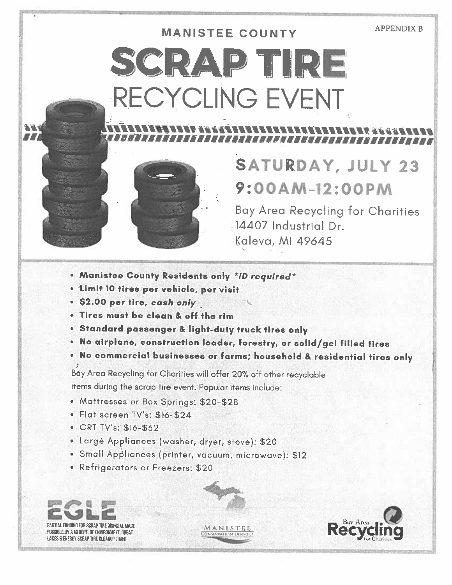### **APPENDIX B**

# **MANISTEE COUNTY** SCRAPTIRE RECYCLING EVENT



## SATURDAY, JULY 23 9:00AM-12:00PM

**Bay Area Recycling for Charities** 14407 Industrial Dr. **Kaleva, MI 49645** 

- . Manistee County Residents only \*ID required\*
- . Limit 10 tires per vehicle, per visit
- . \$2.00 per tire, cash only
- . Tires must be clean & off the rim
- · Standard passenger & light-duty truck tires only
- . No airplane, construction loader, forestry, or solid/gel filled tires
- . No commercial businesses or farms; household & residential tires only

Bay Area Recycling for Charities will offer 20% off other recyclable items during the scrap tire event. Popular items include:

- Mattresses or Box Springs: \$20-\$28
- · Flat screen TV's: \$16-\$24
- CRT  $IV's: $16-$32$
- · Large Appliances (washer, dryer, stove): \$20
- · Small Appliances (printer, vacuum, microwave): \$12
- Refrigerators or Freezers: \$20

PARTIAL FUNDING FOR SCRAP TIRE DISPOSAL MADE POSSIBLE BY A MI DEPT. OF ENVIRONMENT, GREAT LAKES & ENERGY SCRAP TIRE CLEANUP GRANT

HZ.